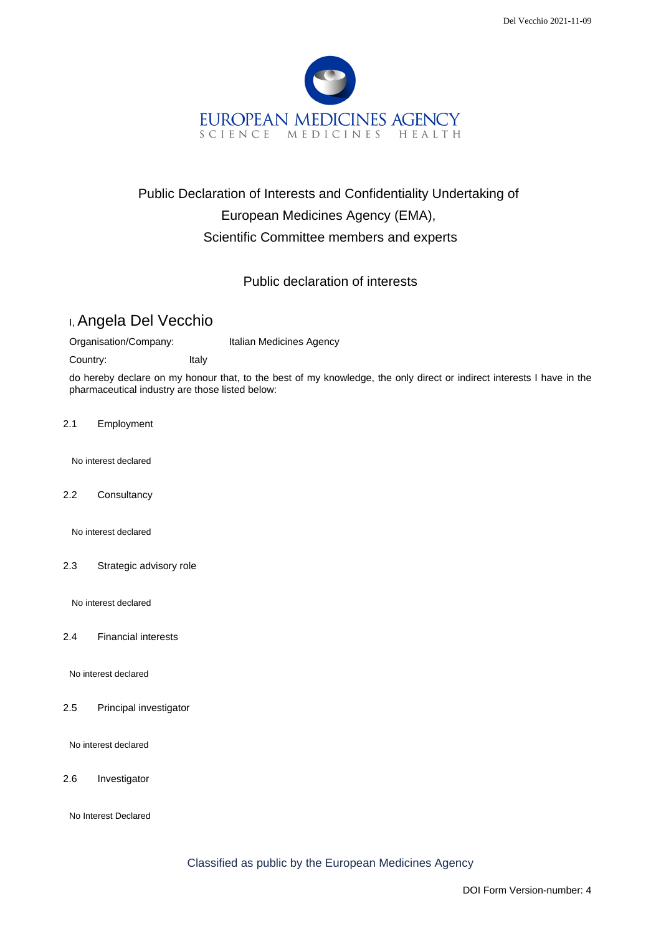

# Public Declaration of Interests and Confidentiality Undertaking of European Medicines Agency (EMA), Scientific Committee members and experts

### Public declaration of interests

# I, Angela Del Vecchio

Organisation/Company: Italian Medicines Agency

Country: Italy

do hereby declare on my honour that, to the best of my knowledge, the only direct or indirect interests I have in the pharmaceutical industry are those listed below:

2.1 Employment

No interest declared

2.2 Consultancy

No interest declared

2.3 Strategic advisory role

No interest declared

2.4 Financial interests

No interest declared

2.5 Principal investigator

No interest declared

2.6 Investigator

No Interest Declared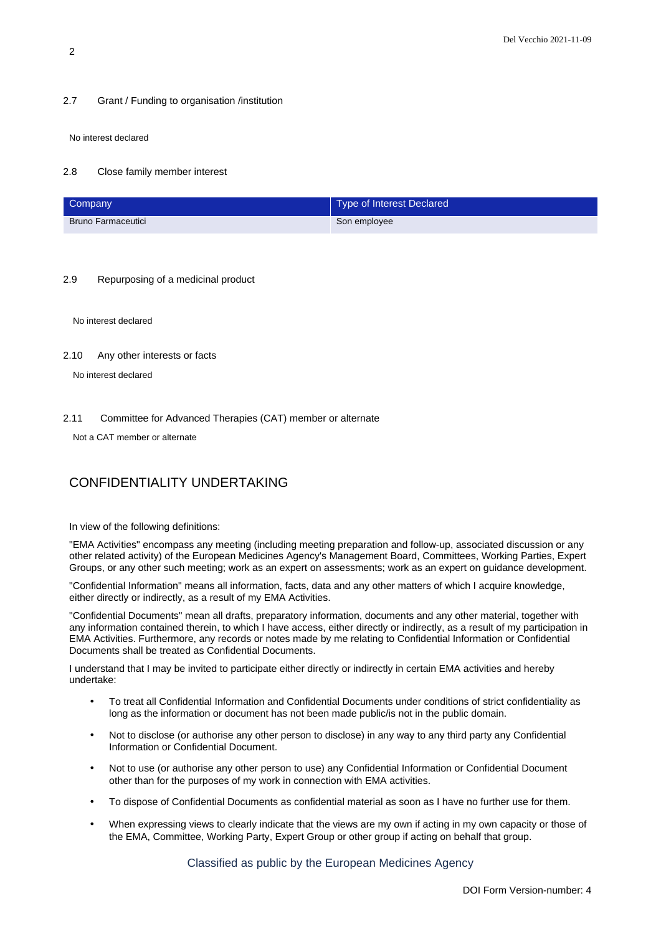#### 2.7 Grant / Funding to organisation /institution

No interest declared

#### 2.8 Close family member interest

| Company                   | Type of Interest Declared |
|---------------------------|---------------------------|
| <b>Bruno Farmaceutici</b> | Son employee              |

#### 2.9 Repurposing of a medicinal product

No interest declared

#### 2.10 Any other interests or facts

No interest declared

#### 2.11 Committee for Advanced Therapies (CAT) member or alternate

Not a CAT member or alternate

## CONFIDENTIALITY UNDERTAKING

In view of the following definitions:

"EMA Activities" encompass any meeting (including meeting preparation and follow-up, associated discussion or any other related activity) of the European Medicines Agency's Management Board, Committees, Working Parties, Expert Groups, or any other such meeting; work as an expert on assessments; work as an expert on guidance development.

"Confidential Information" means all information, facts, data and any other matters of which I acquire knowledge, either directly or indirectly, as a result of my EMA Activities.

"Confidential Documents" mean all drafts, preparatory information, documents and any other material, together with any information contained therein, to which I have access, either directly or indirectly, as a result of my participation in EMA Activities. Furthermore, any records or notes made by me relating to Confidential Information or Confidential Documents shall be treated as Confidential Documents.

I understand that I may be invited to participate either directly or indirectly in certain EMA activities and hereby undertake:

- To treat all Confidential Information and Confidential Documents under conditions of strict confidentiality as long as the information or document has not been made public/is not in the public domain.
- Not to disclose (or authorise any other person to disclose) in any way to any third party any Confidential Information or Confidential Document.
- Not to use (or authorise any other person to use) any Confidential Information or Confidential Document other than for the purposes of my work in connection with EMA activities.
- To dispose of Confidential Documents as confidential material as soon as I have no further use for them.
- When expressing views to clearly indicate that the views are my own if acting in my own capacity or those of the EMA, Committee, Working Party, Expert Group or other group if acting on behalf that group.

Classified as public by the European Medicines Agency